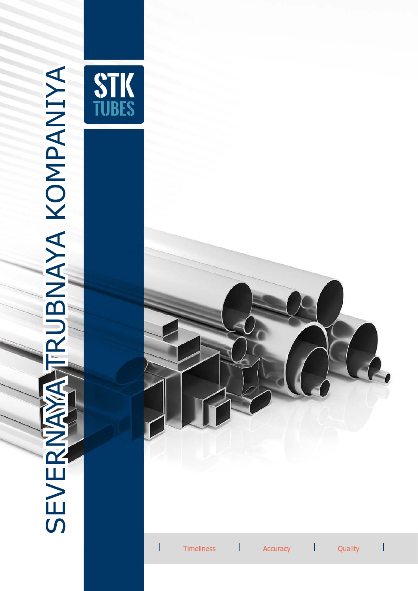

 $\overline{S}$ 

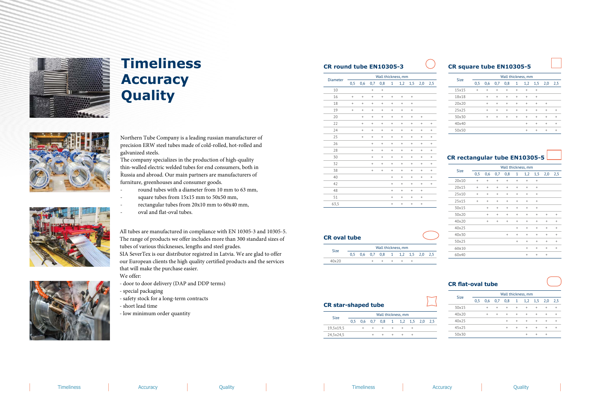

## **Timeliness Accuracy Quality**



Northern Tube Company is a leading russian manufacturer of precision ERW steel tubes made of cold-rolled, hot-rolled and galvanized steels.

- round tubes with a diameter from 10 mm to 63 mm,
- square tubes from 15x15 mm to 50x50 mm,
- rectangular tubes from 20x10 mm to 60x40 mm,
- oval and flat-oval tubes.

The company specializes in the production of high-quality thin-walled electric welded tubes for end consumers, both in Russia and abroad. Our main partners are manufacturers of furniture, greenhouses and consumer goods.

All tubes are manufactured in compliance with EN 10305-3 and 10305-5. The range of products we offer includes more than 300 standard sizes of tubes of various thicknesses, lengths and steel grades.

SIA SeverTex is our distributor registred in Latvia. We are glad to offer our European clients the high quality certified products and the services that will make the purchase easier.

We offer:

- door to door delivery (DAP and DDP terms)
- special packaging
- safety stock for a long-term contracts
- short lead time
- low minimum order quantity

## **CR round tube CR square tube EN10305-5**

|  | <b>CR rectangular tube EN10305-5</b> |
|--|--------------------------------------|

## **CR flat-oval tube**

|                 | Wall thickness, mm               |           |                                  |                                  |                                  |                                  |                                  |                                  |                                  |  |  |
|-----------------|----------------------------------|-----------|----------------------------------|----------------------------------|----------------------------------|----------------------------------|----------------------------------|----------------------------------|----------------------------------|--|--|
| <b>Diameter</b> | 0,5                              | 0,6       | 0,7                              | 0,8                              | $\mathbf{1}$                     | 1,2                              | 1,5                              | 2,0                              | 2,5                              |  |  |
| 10              |                                  |           | $^{+}$                           | $\qquad \qquad +$                |                                  |                                  |                                  |                                  |                                  |  |  |
| 16              | $\ddot{}$                        | $^{+}$    | $\ddot{}$                        | $\begin{array}{c} + \end{array}$ | $\begin{array}{c} + \end{array}$ | $\begin{array}{c} + \end{array}$ | $\begin{array}{c} + \end{array}$ |                                  |                                  |  |  |
| 18              | $\begin{array}{c} + \end{array}$ | $^{+}$    | $^{+}$                           | $\begin{array}{c} + \end{array}$ | $^{+}$                           | $\begin{array}{c} + \end{array}$ | $\begin{array}{c} + \end{array}$ |                                  |                                  |  |  |
| 19              | $\begin{array}{c} + \end{array}$ | $^{+}$    | $^{+}$                           | $\begin{array}{c} + \end{array}$ | $^{+}$                           | $\ddot{}$                        | $\ddot{}$                        |                                  |                                  |  |  |
| 20              |                                  | $^{+}$    | $^{+}$                           | $\qquad \qquad +$                | $^{+}$                           | $\qquad \qquad +$                | $^{+}$                           | $\begin{array}{c} + \end{array}$ |                                  |  |  |
| 22              |                                  | $^{+}$    | $\begin{array}{c} + \end{array}$ | $\begin{array}{c} + \end{array}$ | $\begin{array}{c} + \end{array}$ | $\begin{array}{c} + \end{array}$ | $\begin{array}{c} + \end{array}$ | $\begin{array}{c} + \end{array}$ | $\begin{array}{c} + \end{array}$ |  |  |
| 24              |                                  | $^{+}$    | $^{+}$                           | $\begin{array}{c} + \end{array}$ | $\begin{array}{c} + \end{array}$ | $\ddot{}$                        | $\begin{array}{c} + \end{array}$ | $\begin{array}{c} + \end{array}$ | $\ddot{}$                        |  |  |
| 25              |                                  | $\ddot{}$ | $^{+}$                           | $\begin{array}{c} + \end{array}$ | $^{+}$                           | $^{+}$                           | $^{+}$                           | $\begin{array}{c} + \end{array}$ | $\ddot{}$                        |  |  |
| 26              |                                  |           | $^{+}$                           | $\begin{array}{c} + \end{array}$ | $^{+}$                           | $\begin{array}{c} + \end{array}$ | $\begin{array}{c} + \end{array}$ | $\begin{array}{c} + \end{array}$ | $\begin{array}{c} + \end{array}$ |  |  |
| 28              |                                  |           | $\ddot{}$                        | $\ddot{}$                        | $\ddot{}$                        | $^{+}$                           | $\ddot{}$                        | $\ddot{}$                        | $\ddot{}$                        |  |  |
| 30              |                                  |           | $\ddot{}$                        | $^{+}$                           | $\ddot{}$                        | $\ddot{}$                        | $\ddot{}$                        | $\ddot{}$                        | $\ddot{}$                        |  |  |
| 32              |                                  |           | $\begin{array}{c} + \end{array}$ | $\begin{array}{c} + \end{array}$ | $\begin{array}{c} + \end{array}$ | $\begin{array}{c} + \end{array}$ | $\begin{array}{c} + \end{array}$ | $\begin{array}{c} + \end{array}$ | $\begin{array}{c} + \end{array}$ |  |  |
| 38              |                                  |           | $^{+}$                           | $\begin{array}{c} + \end{array}$ | $\ddot{}$                        | $\ddot{}$                        | $\ddot{}$                        | $\ddot{}$                        | $^{+}$                           |  |  |
| 40              |                                  |           |                                  |                                  | $^{+}$                           | $^{+}$                           | $^{+}$                           | $^{+}$                           | $^{+}$                           |  |  |
| 42              |                                  |           |                                  |                                  | $\begin{array}{c} + \end{array}$ | $\begin{array}{c} + \end{array}$ | $\begin{array}{c} + \end{array}$ | $\begin{array}{c} + \end{array}$ | $\begin{array}{c} + \end{array}$ |  |  |
| 48              |                                  |           |                                  |                                  | $^{+}$                           | $^{+}$                           | $^{+}$                           | $^{+}$                           |                                  |  |  |
| 51              |                                  |           |                                  |                                  | $\ddot{}$                        | $\ddot{}$                        | $\ddot{}$                        | $^{+}$                           |                                  |  |  |
| 63,5            |                                  |           |                                  |                                  | $\begin{array}{c} + \end{array}$ | $\begin{array}{c} + \end{array}$ | $\begin{array}{c} + \end{array}$ | $\begin{array}{c} + \end{array}$ |                                  |  |  |

| <b>Size</b> | Wall thickness, mm |           |           |           |           |           |           |           |           |  |
|-------------|--------------------|-----------|-----------|-----------|-----------|-----------|-----------|-----------|-----------|--|
|             | 0.5                | 0,6       | 0,7       | 0,8       | 1         | 1,2       | 1,5       | 2,0       | 2,5       |  |
| 15x15       | $\ddot{}$          | $\ddot{}$ | $\ddot{}$ | $\ddot{}$ | $\ddot{}$ | $\ddot{}$ | $^{+}$    |           |           |  |
| 18x18       |                    | $\ddot{}$ | $\ddot{}$ | $\ddot{}$ | $\ddot{}$ | $\ddot{}$ | $\ddot{}$ |           |           |  |
| 20x20       |                    | $\ddot{}$ | $\ddot{}$ | $\ddot{}$ | $\ddot{}$ | $\ddot{}$ | $\ddot{}$ | $\ddot{}$ |           |  |
| 25x25       |                    | $\ddot{}$ | $\ddot{}$ | $\ddot{}$ | $\ddot{}$ | $\ddot{}$ | $\ddot{}$ | $\ddot{}$ | $\ddot{}$ |  |
| 30×30       |                    | $\ddot{}$ | $\ddot{}$ | $\ddot{}$ | $\ddot{}$ | $\ddot{}$ | $\ddot{}$ | $\ddot{}$ | $\ddot{}$ |  |
| 40x40       |                    |           |           |           |           | $\ddot{}$ | $\ddot{}$ | $\ddot{}$ | $\ddot{}$ |  |
| 50x50       |                    |           |           |           |           | $+$       | $\ddot{}$ | $\ddot{}$ | $\ddot{}$ |  |

| <b>Size</b> | Wall thickness, mm |                 |           |           |           |           |           |           |           |  |  |
|-------------|--------------------|-----------------|-----------|-----------|-----------|-----------|-----------|-----------|-----------|--|--|
|             | 0,5                | 0,6             | 0,7       | 0,8       | 1         | 1,2       | 1,5       | 2,0       | 2,5       |  |  |
| 20×10       | $\ddot{}$          | $\! + \!\!\!\!$ | $\ddot{}$ | $\ddot{}$ | $\ddot{}$ | $\ddot{}$ | $^{+}$    |           |           |  |  |
| 20x15       | $\ddot{}$          | $\ddot{}$       | $\ddot{}$ | $\ddot{}$ | $\ddot{}$ | $^{+}$    | $^{+}$    |           |           |  |  |
| 25x10       | $^{+}$             | $\ddot{}$       | $\ddot{}$ | $\ddot{}$ | $^{+}$    | $^{+}$    | $^{+}$    |           |           |  |  |
| 25x15       | $^{+}$             | $\ddot{}$       | $\ddot{}$ | $+$       | $\ddot{}$ | $\ddot{}$ | $^{+}$    |           |           |  |  |
| 30x15       |                    | $\ddot{}$       | $\ddot{}$ | $^{+}$    | $^{+}$    | $^{+}$    | $\ddot{}$ |           |           |  |  |
| 30×20       |                    | $\ddot{}$       | $\ddot{}$ | $^{+}$    | $^{+}$    | $^{+}$    | $^{+}$    | $^{+}$    | $^{+}$    |  |  |
| 40×20       |                    | $\ddot{}$       | $\ddot{}$ | $^{+}$    | $\ddot{}$ | $\ddot{}$ | $\ddot{}$ | $\ddot{}$ | $\ddot{}$ |  |  |
| 40x25       |                    |                 |           |           | $^{+}$    | $^{+}$    | $^{+}$    | $^{+}$    | $^{+}$    |  |  |
| 40×30       |                    |                 |           | $\ddot{}$ | $^{+}$    | $\ddot{}$ | $\ddot{}$ | $\ddot{}$ | $^{+}$    |  |  |
| 50x25       |                    |                 |           |           | $^{+}$    | $^{+}$    | $^{+}$    | $^{+}$    | $\ddot{}$ |  |  |
| 60×10       |                    |                 |           |           |           | $^{+}$    | $^{+}$    | $\ddot{}$ | $\ddot{}$ |  |  |
| 60x40       |                    |                 |           |           |           | $^{+}$    | $^{+}$    | $^{+}$    |           |  |  |

| <b>Size</b> | Wall thickness, mm |           |           |           |           |           |           |           |           |  |
|-------------|--------------------|-----------|-----------|-----------|-----------|-----------|-----------|-----------|-----------|--|
|             | 0.5                | 0,6       | 0,7       | 0,8       | 1         | 1,2       | 1,5       | 2,0       | 2,5       |  |
| 30x15       |                    | $\ddot{}$ | $\ddot{}$ | $\ddot{}$ | $\ddot{}$ | $\ddot{}$ | $\ddot{}$ | $\ddot{}$ | $\ddot{}$ |  |
| 40x20       |                    | $\ddot{}$ | $\ddot{}$ | $\ddot{}$ | $\ddot{}$ | $\ddot{}$ | $\ddot{}$ | $\ddot{}$ | $\ddot{}$ |  |
| 40x25       |                    |           |           | $\ddot{}$ | $\ddot{}$ | $\ddot{}$ | $\ddot{}$ | $\ddot{}$ | $\ddot{}$ |  |
| 45x25       |                    |           |           | $\ddot{}$ | $\ddot{}$ | $\ddot{}$ | $\ddot{}$ | $\ddot{}$ |           |  |
| 50x30       |                    |           |           |           |           | $\ddot{}$ | $\ddot{}$ | $\ddot{}$ |           |  |
|             |                    |           |           |           |           |           |           |           |           |  |



| <b>CR</b> oval tube |  |  |                                   |  |  |
|---------------------|--|--|-----------------------------------|--|--|
|                     |  |  | Wall thickness, mm                |  |  |
| <b>Size</b>         |  |  | 0,5 0,6 0,7 0,8 1 1,2 1,5 2,0 2,5 |  |  |
| 40×20               |  |  |                                   |  |  |

| <b>CR</b> star-shaped tube |                    |     |                                   |  |  |  |  |  |  |
|----------------------------|--------------------|-----|-----------------------------------|--|--|--|--|--|--|
|                            | Wall thickness, mm |     |                                   |  |  |  |  |  |  |
| <b>Size</b>                |                    |     | 0.5 0.6 0.7 0.8 1 1.2 1.5 2.0 2.5 |  |  |  |  |  |  |
| 19,5x19,5                  |                    | $+$ |                                   |  |  |  |  |  |  |

 $24,5x24,5$  + + + +

 $\Box$